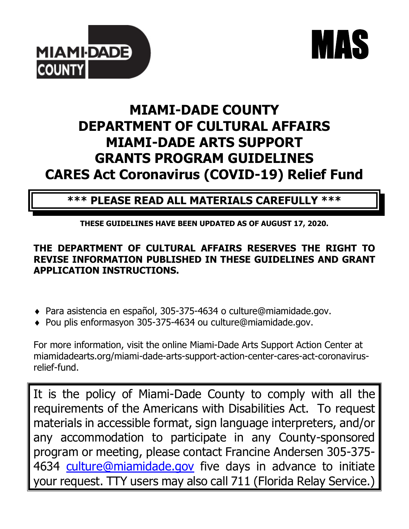



# **MIAMI-DADE COUNTY DEPARTMENT OF CULTURAL AFFAIRS MIAMI-DADE ARTS SUPPORT GRANTS PROGRAM GUIDELINES CARES Act Coronavirus (COVID-19) Relief Fund**

# **\*\*\* PLEASE READ ALL MATERIALS CAREFULLY \*\*\***

**THESE GUIDELINES HAVE BEEN UPDATED AS OF AUGUST 17, 2020.**

# **THE DEPARTMENT OF CULTURAL AFFAIRS RESERVES THE RIGHT TO REVISE INFORMATION PUBLISHED IN THESE GUIDELINES AND GRANT APPLICATION INSTRUCTIONS.**

- Para asistencia en español, 305-375-4634 o culture@miamidade.gov.
- Pou plis enformasyon 305-375-4634 ou culture@miamidade.gov.

For more information, visit the online Miami-Dade Arts Support Action Center at miamidadearts.org/miami-dade-arts-support-action-center-cares-act-coronavirusrelief-fund.

It is the policy of Miami-Dade County to comply with all the requirements of the Americans with Disabilities Act. To request materials in accessible format, sign language interpreters, and/or any accommodation to participate in any County-sponsored program or meeting, please contact Francine Andersen 305-375 4634 [culture@miamidade.gov](mailto:culture@miamidade.gov) five days in advance to initiate your request. TTY users may also call 711 (Florida Relay Service.)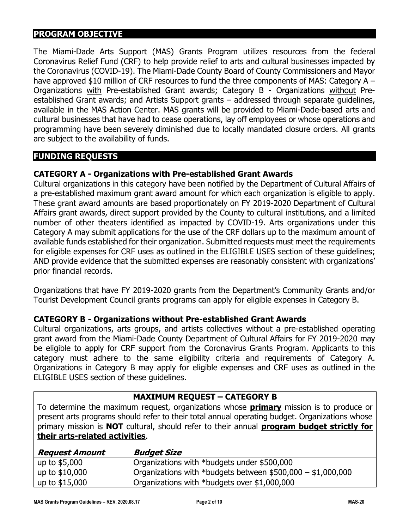# **PROGRAM OBJECTIVE**

The Miami-Dade Arts Support (MAS) Grants Program utilizes resources from the federal Coronavirus Relief Fund (CRF) to help provide relief to arts and cultural businesses impacted by the Coronavirus (COVID-19). The Miami-Dade County Board of County Commissioners and Mayor have approved \$10 million of CRF resources to fund the three components of MAS: Category A – Organizations with Pre-established Grant awards; Category B - Organizations without Preestablished Grant awards; and Artists Support grants – addressed through separate guidelines, available in the MAS Action Center. MAS grants will be provided to Miami-Dade-based arts and cultural businesses that have had to cease operations, lay off employees or whose operations and programming have been severely diminished due to locally mandated closure orders. All grants are subject to the availability of funds.

#### **FUNDING REQUESTS**

#### **CATEGORY A - Organizations with Pre-established Grant Awards**

Cultural organizations in this category have been notified by the Department of Cultural Affairs of a pre-established maximum grant award amount for which each organization is eligible to apply. These grant award amounts are based proportionately on FY 2019-2020 Department of Cultural Affairs grant awards, direct support provided by the County to cultural institutions, and a limited number of other theaters identified as impacted by COVID-19. Arts organizations under this Category A may submit applications for the use of the CRF dollars up to the maximum amount of available funds established for their organization. Submitted requests must meet the requirements for eligible expenses for CRF uses as outlined in the ELIGIBLE USES section of these guidelines; AND provide evidence that the submitted expenses are reasonably consistent with organizations' prior financial records.

Organizations that have FY 2019-2020 grants from the Department's Community Grants and/or Tourist Development Council grants programs can apply for eligible expenses in Category B.

#### **CATEGORY B - Organizations without Pre-established Grant Awards**

Cultural organizations, arts groups, and artists collectives without a pre-established operating grant award from the Miami-Dade County Department of Cultural Affairs for FY 2019-2020 may be eligible to apply for CRF support from the Coronavirus Grants Program. Applicants to this category must adhere to the same eligibility criteria and requirements of Category A. Organizations in Category B may apply for eligible expenses and CRF uses as outlined in the ELIGIBLE USES section of these guidelines.

#### **MAXIMUM REQUEST – CATEGORY B**

To determine the maximum request, organizations whose **primary** mission is to produce or present arts programs should refer to their total annual operating budget. Organizations whose primary mission is **NOT** cultural, should refer to their annual **program budget strictly for their arts-related activities**.

| <b>Request Amount</b> | <b>Budget Size</b>                                          |
|-----------------------|-------------------------------------------------------------|
| up to $$5,000$        | Organizations with *budgets under \$500,000                 |
| up to \$10,000        | Organizations with *budgets between $$500,000 - $1,000,000$ |
| up to \$15,000        | Organizations with *budgets over \$1,000,000                |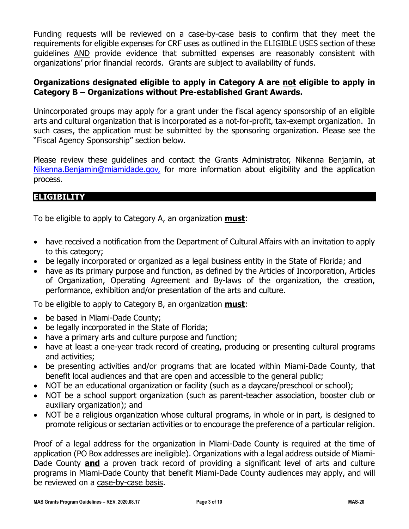Funding requests will be reviewed on a case-by-case basis to confirm that they meet the requirements for eligible expenses for CRF uses as outlined in the ELIGIBLE USES section of these guidelines AND provide evidence that submitted expenses are reasonably consistent with organizations' prior financial records. Grants are subject to availability of funds.

### **Organizations designated eligible to apply in Category A are not eligible to apply in Category B – Organizations without Pre-established Grant Awards.**

Unincorporated groups may apply for a grant under the fiscal agency sponsorship of an eligible arts and cultural organization that is incorporated as a not-for-profit, tax-exempt organization. In such cases, the application must be submitted by the sponsoring organization. Please see the "Fiscal Agency Sponsorship" section below.

Please review these guidelines and contact the Grants Administrator, Nikenna Benjamin, at [Nikenna.Benjamin@miamidade.gov,](mailto:Nikenna.Benjamin@miamidade.gov) for more information about eligibility and the application process.

# **ELIGIBILITY**

To be eligible to apply to Category A, an organization **must**:

- have received a notification from the Department of Cultural Affairs with an invitation to apply to this category;
- be legally incorporated or organized as a legal business entity in the State of Florida; and
- have as its primary purpose and function, as defined by the Articles of Incorporation, Articles of Organization, Operating Agreement and By-laws of the organization, the creation, performance, exhibition and/or presentation of the arts and culture.

To be eligible to apply to Category B, an organization **must**:

- be based in Miami-Dade County;
- be legally incorporated in the State of Florida;
- have a primary arts and culture purpose and function;
- have at least a one-year track record of creating, producing or presenting cultural programs and activities;
- be presenting activities and/or programs that are located within Miami-Dade County, that benefit local audiences and that are open and accessible to the general public;
- NOT be an educational organization or facility (such as a daycare/preschool or school);
- NOT be a school support organization (such as parent-teacher association, booster club or auxiliary organization); and
- NOT be a religious organization whose cultural programs, in whole or in part, is designed to promote religious or sectarian activities or to encourage the preference of a particular religion.

Proof of a legal address for the organization in Miami-Dade County is required at the time of application (PO Box addresses are ineligible). Organizations with a legal address outside of Miami-Dade County **and** a proven track record of providing a significant level of arts and culture programs in Miami-Dade County that benefit Miami-Dade County audiences may apply, and will be reviewed on a case-by-case basis.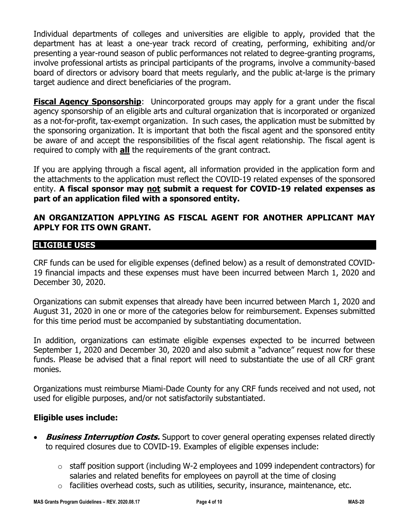Individual departments of colleges and universities are eligible to apply, provided that the department has at least a one-year track record of creating, performing, exhibiting and/or presenting a year-round season of public performances not related to degree-granting programs, involve professional artists as principal participants of the programs, involve a community-based board of directors or advisory board that meets regularly, and the public at-large is the primary target audience and direct beneficiaries of the program.

**Fiscal Agency Sponsorship**: Unincorporated groups may apply for a grant under the fiscal agency sponsorship of an eligible arts and cultural organization that is incorporated or organized as a not-for-profit, tax-exempt organization. In such cases, the application must be submitted by the sponsoring organization. It is important that both the fiscal agent and the sponsored entity be aware of and accept the responsibilities of the fiscal agent relationship. The fiscal agent is required to comply with **all** the requirements of the grant contract.

If you are applying through a fiscal agent, all information provided in the application form and the attachments to the application must reflect the COVID-19 related expenses of the sponsored entity. **A fiscal sponsor may not submit a request for COVID-19 related expenses as part of an application filed with a sponsored entity.** 

# **AN ORGANIZATION APPLYING AS FISCAL AGENT FOR ANOTHER APPLICANT MAY APPLY FOR ITS OWN GRANT.**

#### **ELIGIBLE USES**

CRF funds can be used for eligible expenses (defined below) as a result of demonstrated COVID-19 financial impacts and these expenses must have been incurred between March 1, 2020 and December 30, 2020.

Organizations can submit expenses that already have been incurred between March 1, 2020 and August 31, 2020 in one or more of the categories below for reimbursement. Expenses submitted for this time period must be accompanied by substantiating documentation.

In addition, organizations can estimate eligible expenses expected to be incurred between September 1, 2020 and December 30, 2020 and also submit a "advance" request now for these funds. Please be advised that a final report will need to substantiate the use of all CRF grant monies.

Organizations must reimburse Miami-Dade County for any CRF funds received and not used, not used for eligible purposes, and/or not satisfactorily substantiated.

# **Eligible uses include:**

- **Business Interruption Costs.** Support to cover general operating expenses related directly to required closures due to COVID-19. Examples of eligible expenses include:
	- $\circ$  staff position support (including W-2 employees and 1099 independent contractors) for salaries and related benefits for employees on payroll at the time of closing
	- $\circ$  facilities overhead costs, such as utilities, security, insurance, maintenance, etc.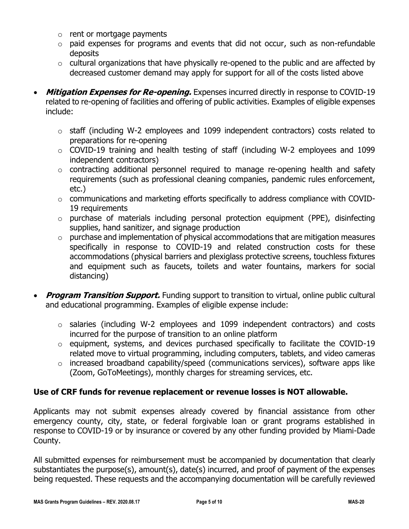- $\circ$  rent or mortgage payments
- $\circ$  paid expenses for programs and events that did not occur, such as non-refundable deposits
- $\circ$  cultural organizations that have physically re-opened to the public and are affected by decreased customer demand may apply for support for all of the costs listed above
- **Mitigation Expenses for Re-opening.** Expenses incurred directly in response to COVID-19 related to re-opening of facilities and offering of public activities. Examples of eligible expenses include:
	- o staff (including W-2 employees and 1099 independent contractors) costs related to preparations for re-opening
	- o COVID-19 training and health testing of staff (including W-2 employees and 1099 independent contractors)
	- o contracting additional personnel required to manage re-opening health and safety requirements (such as professional cleaning companies, pandemic rules enforcement, etc.)
	- o communications and marketing efforts specifically to address compliance with COVID-19 requirements
	- o purchase of materials including personal protection equipment (PPE), disinfecting supplies, hand sanitizer, and signage production
	- $\circ$  purchase and implementation of physical accommodations that are mitigation measures specifically in response to COVID-19 and related construction costs for these accommodations (physical barriers and plexiglass protective screens, touchless fixtures and equipment such as faucets, toilets and water fountains, markers for social distancing)
- **Program Transition Support.** Funding support to transition to virtual, online public cultural and educational programming. Examples of eligible expense include:
	- o salaries (including W-2 employees and 1099 independent contractors) and costs incurred for the purpose of transition to an online platform
	- o equipment, systems, and devices purchased specifically to facilitate the COVID-19 related move to virtual programming, including computers, tablets, and video cameras
	- o increased broadband capability/speed (communications services), software apps like (Zoom, GoToMeetings), monthly charges for streaming services, etc.

# **Use of CRF funds for revenue replacement or revenue losses is NOT allowable.**

Applicants may not submit expenses already covered by financial assistance from other emergency county, city, state, or federal forgivable loan or grant programs established in response to COVID-19 or by insurance or covered by any other funding provided by Miami-Dade County.

All submitted expenses for reimbursement must be accompanied by documentation that clearly substantiates the purpose(s), amount(s), date(s) incurred, and proof of payment of the expenses being requested. These requests and the accompanying documentation will be carefully reviewed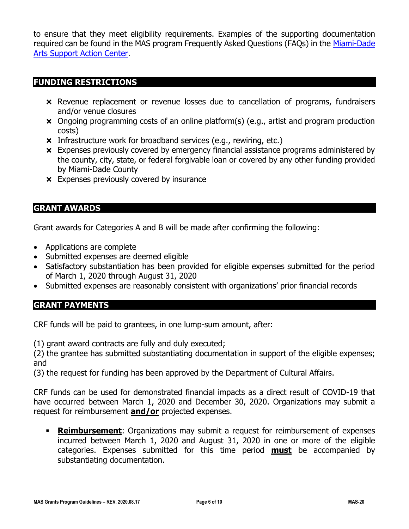to ensure that they meet eligibility requirements. Examples of the supporting documentation required can be found in the MAS program Frequently Asked Questions (FAQs) in the [Miami-Dade](https://miamidadearts.org/miami-dade-arts-support-action-center-cares-act-coronavirus-relief-fund)  [Arts Support Action Center.](https://miamidadearts.org/miami-dade-arts-support-action-center-cares-act-coronavirus-relief-fund)

#### **FUNDING RESTRICTIONS**

- Revenue replacement or revenue losses due to cancellation of programs, fundraisers and/or venue closures
- Ongoing programming costs of an online platform(s) (e.g., artist and program production costs)
- **x** Infrastructure work for broadband services (e.g., rewiring, etc.)
- Expenses previously covered by emergency financial assistance programs administered by the county, city, state, or federal forgivable loan or covered by any other funding provided by Miami-Dade County
- **x** Expenses previously covered by insurance

# **GRANT AWARDS**

Grant awards for Categories A and B will be made after confirming the following:

- Applications are complete
- Submitted expenses are deemed eligible
- Satisfactory substantiation has been provided for eligible expenses submitted for the period of March 1, 2020 through August 31, 2020
- Submitted expenses are reasonably consistent with organizations' prior financial records

# **GRANT PAYMENTS**

CRF funds will be paid to grantees, in one lump-sum amount, after:

(1) grant award contracts are fully and duly executed;

(2) the grantee has submitted substantiating documentation in support of the eligible expenses; and

(3) the request for funding has been approved by the Department of Cultural Affairs.

CRF funds can be used for demonstrated financial impacts as a direct result of COVID-19 that have occurred between March 1, 2020 and December 30, 2020. Organizations may submit a request for reimbursement **and/or** projected expenses.

**Exambursement:** Organizations may submit a request for reimbursement of expenses incurred between March 1, 2020 and August 31, 2020 in one or more of the eligible categories. Expenses submitted for this time period **must** be accompanied by substantiating documentation.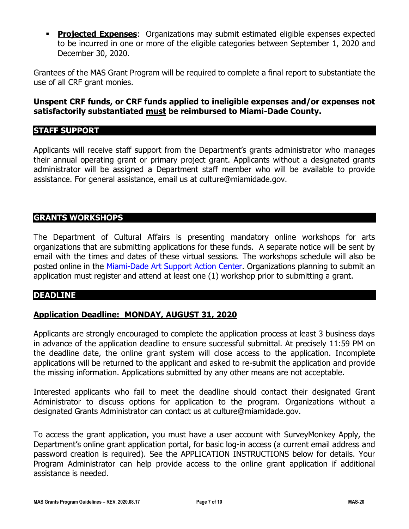**• Projected Expenses:** Organizations may submit estimated eligible expenses expected to be incurred in one or more of the eligible categories between September 1, 2020 and December 30, 2020.

Grantees of the MAS Grant Program will be required to complete a final report to substantiate the use of all CRF grant monies.

#### **Unspent CRF funds, or CRF funds applied to ineligible expenses and/or expenses not satisfactorily substantiated must be reimbursed to Miami-Dade County.**

#### **STAFF SUPPORT**

Applicants will receive staff support from the Department's grants administrator who manages their annual operating grant or primary project grant. Applicants without a designated grants administrator will be assigned a Department staff member who will be available to provide assistance. For general assistance, email us at culture@miamidade.gov.

### **GRANTS WORKSHOPS**

The Department of Cultural Affairs is presenting mandatory online workshops for arts organizations that are submitting applications for these funds. A separate notice will be sent by email with the times and dates of these virtual sessions. The workshops schedule will also be posted online in the [Miami-Dade Art Support Action Center.](file:///C:/Users/ms4/AppData/Local/Microsoft/Windows/INetCache/Content.Outlook/4V8P5NC5/miamidadearts.org/miami-dade-arts-support-action-center-cares-act-coronavirus-relief-fund) Organizations planning to submit an application must register and attend at least one (1) workshop prior to submitting a grant.

#### **DEADLINE**

# **Application Deadline:\_MONDAY, AUGUST 31, 2020**

Applicants are strongly encouraged to complete the application process at least 3 business days in advance of the application deadline to ensure successful submittal. At precisely 11:59 PM on the deadline date, the online grant system will close access to the application. Incomplete applications will be returned to the applicant and asked to re-submit the application and provide the missing information. Applications submitted by any other means are not acceptable.

Interested applicants who fail to meet the deadline should contact their designated Grant Administrator to discuss options for application to the program. Organizations without a designated Grants Administrator can contact us at culture@miamidade.gov.

To access the grant application, you must have a user account with SurveyMonkey Apply, the Department's online grant application portal, for basic log-in access (a current email address and password creation is required). See the APPLICATION INSTRUCTIONS below for details. Your Program Administrator can help provide access to the online grant application if additional assistance is needed.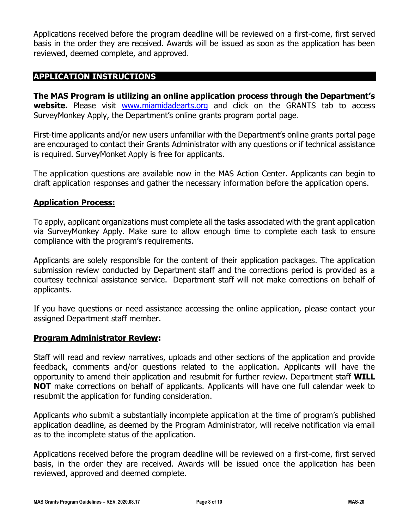Applications received before the program deadline will be reviewed on a first-come, first served basis in the order they are received. Awards will be issued as soon as the application has been reviewed, deemed complete, and approved.

# **APPLICATION INSTRUCTIONS**

**The MAS Program is utilizing an online application process through the Department's website.** Please visit [www.miamidadearts.org](http://www.miamidadearts.org/) and click on the GRANTS tab to access SurveyMonkey Apply, the Department's online grants program portal page.

First-time applicants and/or new users unfamiliar with the Department's online grants portal page are encouraged to contact their Grants Administrator with any questions or if technical assistance is required. SurveyMonket Apply is free for applicants.

The application questions are available now in the MAS Action Center. Applicants can begin to draft application responses and gather the necessary information before the application opens.

#### **Application Process:**

To apply, applicant organizations must complete all the tasks associated with the grant application via SurveyMonkey Apply. Make sure to allow enough time to complete each task to ensure compliance with the program's requirements.

Applicants are solely responsible for the content of their application packages. The application submission review conducted by Department staff and the corrections period is provided as a courtesy technical assistance service. Department staff will not make corrections on behalf of applicants.

If you have questions or need assistance accessing the online application, please contact your assigned Department staff member.

#### **Program Administrator Review:**

Staff will read and review narratives, uploads and other sections of the application and provide feedback, comments and/or questions related to the application. Applicants will have the opportunity to amend their application and resubmit for further review. Department staff **WILL NOT** make corrections on behalf of applicants. Applicants will have one full calendar week to resubmit the application for funding consideration.

Applicants who submit a substantially incomplete application at the time of program's published application deadline, as deemed by the Program Administrator, will receive notification via email as to the incomplete status of the application.

Applications received before the program deadline will be reviewed on a first-come, first served basis, in the order they are received. Awards will be issued once the application has been reviewed, approved and deemed complete.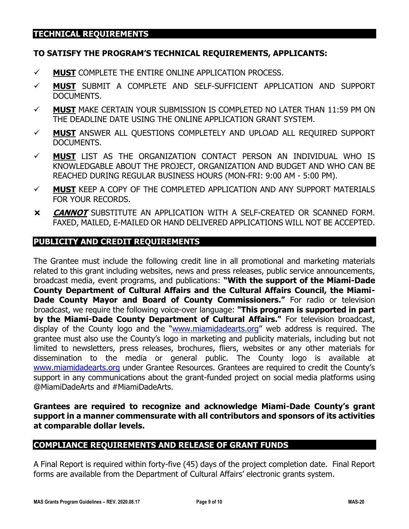# **TECHNICAL REQUIREMENTS**

#### **TO SATISFY THE PROGRAM'S TECHNICAL REQUIREMENTS, APPLICANTS:**

- ✓ **MUST** COMPLETE THE ENTIRE ONLINE APPLICATION PROCESS.
- ✓ **MUST** SUBMIT A COMPLETE AND SELF-SUFFICIENT APPLICATION AND SUPPORT DOCUMENTS.
- ✓ **MUST** MAKE CERTAIN YOUR SUBMISSION IS COMPLETED NO LATER THAN 11:59 PM ON THE DEADLINE DATE USING THE ONLINE APPLICATION GRANT SYSTEM.
- ✓ **MUST** ANSWER ALL QUESTIONS COMPLETELY AND UPLOAD ALL REQUIRED SUPPORT DOCUMENTS.
- ✓ **MUST** LIST AS THE ORGANIZATION CONTACT PERSON AN INDIVIDUAL WHO IS KNOWLEDGABLE ABOUT THE PROJECT, ORGANIZATION AND BUDGET AND WHO CAN BE REACHED DURING REGULAR BUSINESS HOURS (MON-FRI: 9:00 AM - 5:00 PM).
- ✓ **MUST** KEEP A COPY OF THE COMPLETED APPLICATION AND ANY SUPPORT MATERIALS FOR YOUR RECORDS.
- **CANNOT** SUBSTITUTE AN APPLICATION WITH A SELF-CREATED OR SCANNED FORM. FAXED, MAILED, E-MAILED OR HAND DELIVERED APPLICATIONS WILL NOT BE ACCEPTED.

#### **PUBLICITY AND CREDIT REQUIREMENTS**

The Grantee must include the following credit line in all promotional and marketing materials related to this grant including websites, news and press releases, public service announcements, broadcast media, event programs, and publications: **"With the support of the Miami-Dade County Department of Cultural Affairs and the Cultural Affairs Council, the Miami-Dade County Mayor and Board of County Commissioners."** For radio or television broadcast, we require the following voice-over language: **"This program is supported in part by the Miami-Dade County Department of Cultural Affairs."** For television broadcast, display of the County logo and the "[www.miamidadearts.org](http://www.miamidadearts.org/)" web address is required. The grantee must also use the County's logo in marketing and publicity materials, including but not limited to newsletters, press releases, brochures, fliers, websites or any other materials for dissemination to the media or general public. The County logo is available at [www.miamidadearts.org](http://www.miamidadearts.org/) under Grantee Resources. Grantees are required to credit the County's support in any communications about the grant-funded project on social media platforms using @MiamiDadeArts and #MiamiDadeArts.

#### **Grantees are required to recognize and acknowledge Miami-Dade County's grant support in a manner commensurate with all contributors and sponsors of its activities at comparable dollar levels.**

#### **COMPLIANCE REQUIREMENTS AND RELEASE OF GRANT FUNDS**

A Final Report is required within forty-five (45) days of the project completion date. Final Report forms are available from the Department of Cultural Affairs' electronic grants system.